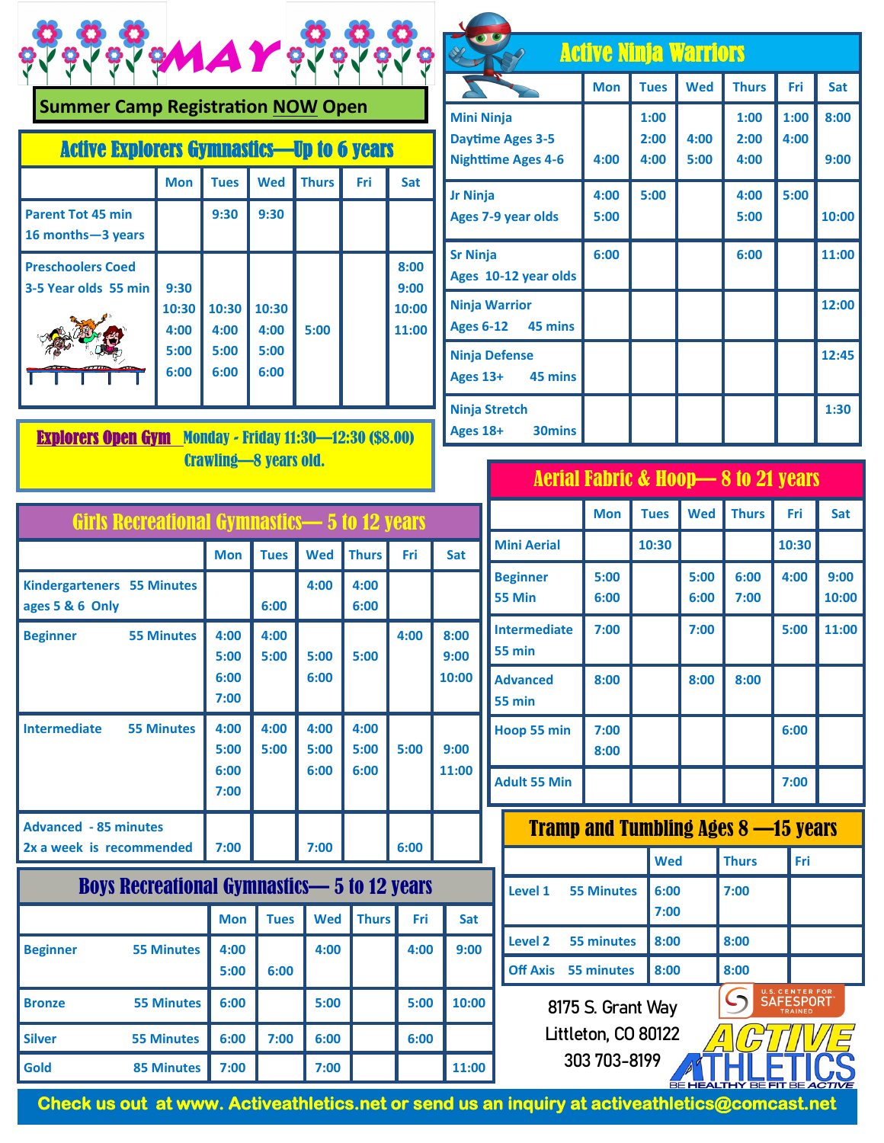| $\bullet$ $\bullet$ | ි අපි අපි     |
|---------------------|---------------|
| <b>CES</b>          | <b>CARLES</b> |
| MAY                 | <b>A</b>      |

|  |  | <b>Summer Camp Registration NOW Open</b> |  |  |
|--|--|------------------------------------------|--|--|
|--|--|------------------------------------------|--|--|

| <b>Active Explorers Gymnastics—Up to 6 years</b> |                                                                |                               |                               |      |  |                |  |
|--------------------------------------------------|----------------------------------------------------------------|-------------------------------|-------------------------------|------|--|----------------|--|
|                                                  | <b>Wed</b><br><b>Thurs</b><br><b>Mon</b><br><b>Tues</b><br>Fri |                               |                               |      |  |                |  |
| <b>Parent Tot 45 min</b><br>16 months-3 years    |                                                                | 9:30                          | 9:30                          |      |  |                |  |
| <b>Preschoolers Coed</b><br>3-5 Year olds 55 min | 9:30                                                           |                               |                               |      |  | 8:00<br>9:00   |  |
|                                                  | 10:30<br>4:00<br>5:00<br>6:00                                  | 10:30<br>4:00<br>5:00<br>6:00 | 10:30<br>4:00<br>5:00<br>6:00 | 5:00 |  | 10:00<br>11:00 |  |

Explorers Open Gym Monday - Friday 11:30—12:30 (\$8.00) Crawling—8 years old.

| <b>Active Ninja Warriors</b>                                              |              |                      |              |                      |              |              |  |
|---------------------------------------------------------------------------|--------------|----------------------|--------------|----------------------|--------------|--------------|--|
|                                                                           | <b>Mon</b>   | <b>Tues</b>          | <b>Wed</b>   | <b>Thurs</b>         | Fri          | Sat          |  |
| <b>Mini Ninja</b><br><b>Daytime Ages 3-5</b><br><b>Nighttime Ages 4-6</b> | 4:00         | 1:00<br>2:00<br>4:00 | 4:00<br>5:00 | 1:00<br>2:00<br>4:00 | 1:00<br>4:00 | 8:00<br>9:00 |  |
| <b>Jr Ninja</b><br><b>Ages 7-9 year olds</b>                              | 4:00<br>5:00 | 5:00                 |              | 4:00<br>5:00         | 5:00         | 10:00        |  |
| <b>Sr Ninja</b><br>Ages 10-12 year olds                                   | 6:00         |                      |              | 6:00                 |              | 11:00        |  |
| <b>Ninja Warrior</b><br>45 mins<br><b>Ages 6-12</b>                       |              |                      |              |                      |              | 12:00        |  |
| <b>Ninja Defense</b><br>Ages 13+ 45 mins                                  |              |                      |              |                      |              | 12:45        |  |
| <b>Ninja Stretch</b><br><b>30mins</b><br>Ages 18+                         |              |                      |              |                      |              | 1:30         |  |

| Aerial Fabric & Hoop— $8$ to 21 years $\,$ $\,$ |  |
|-------------------------------------------------|--|
|                                                 |  |

| Girls Recreational Gymnastics—5 to 12 years              |              |              |              |              |      |              |                                  |            |
|----------------------------------------------------------|--------------|--------------|--------------|--------------|------|--------------|----------------------------------|------------|
|                                                          | <b>Mon</b>   | <b>Tues</b>  | <b>Wed</b>   | <b>Thurs</b> | Fri  | Sat          | <b>Mini Aeria</b>                |            |
| <b>Kindergarteners 55 Minutes</b><br>ages 5 & 6 Only     |              | 6:00         | 4:00         | 4:00<br>6:00 |      |              | <b>Beginner</b><br>55 Min        |            |
| <b>55 Minutes</b><br><b>Beginner</b>                     | 4:00<br>5:00 | 4:00<br>5:00 | 5:00         | 5:00         | 4:00 | 8:00<br>9:00 | Intermedi<br><b>55 min</b>       |            |
|                                                          | 6:00<br>7:00 |              | 6:00         |              |      | 10:00        | <b>Advanced</b><br><b>55 min</b> |            |
| <b>Intermediate</b><br><b>55 Minutes</b>                 | 4:00<br>5:00 | 4:00<br>5:00 | 4:00<br>5:00 | 4:00<br>5:00 | 5:00 | 9:00         | Hoop 55 r                        |            |
|                                                          | 6:00<br>7:00 |              | 6:00         | 6:00         |      | 11:00        | Adult 55 l                       |            |
| <b>Advanced - 85 minutes</b><br>2x a week is recommended | 7:00         |              | 7:00         |              | 6:00 |              |                                  | <b>Tra</b> |
| <b>Boys Recreational Gymnastics-5 to 12 years</b>        |              |              |              |              |      |              | Level 1                          |            |
|                                                          | <b>Mon</b>   | <b>Tues</b>  | <b>Wed</b>   | <b>Thurs</b> | Fri  | Sat          |                                  |            |
| <b>Beginner</b><br><b>55 Minutes</b>                     | 4:00         |              | 4:00         |              | 4:00 | 9:00         | Level 2                          |            |
|                                                          | 5:00         | 6:00         |              |              |      |              | <b>Off Axis</b>                  |            |
| <b>55 Minutes</b><br><b>Bronze</b>                       | 6:00         |              | 5:00         |              | 5:00 | 10:00        |                                  |            |
| <b>Silver</b><br><b>55 Minutes</b>                       | 6:00         | 7:00         | 6:00         |              | 6:00 |              |                                  | L          |
| Gold<br><b>85 Minutes</b>                                | 7:00         |              | 7:00         |              |      | 11:00        |                                  |            |

|                                            |                                      | <b>Mon</b>        | <b>Tues</b> | <b>Wed</b>           | <b>Thurs</b> | Fri                                 | Sat           |
|--------------------------------------------|--------------------------------------|-------------------|-------------|----------------------|--------------|-------------------------------------|---------------|
|                                            | <b>Mini Aerial</b>                   |                   | 10:30       |                      |              | 10:30                               |               |
|                                            | <b>Beginner</b><br>55 Min            | 5:00<br>6:00      |             | 5:00<br>6:00         | 6:00<br>7:00 | 4:00                                | 9:00<br>10:00 |
|                                            | <b>Intermediate</b><br><b>55 min</b> | 7:00              |             | 7:00                 |              | 5:00                                | 11:00         |
|                                            | <b>Advanced</b><br>55 min            | 8:00              |             | 8:00                 | 8:00         |                                     |               |
|                                            | Hoop 55 min                          | 7:00<br>8:00      |             |                      |              | 6:00                                |               |
|                                            | <b>Adult 55 Min</b>                  |                   |             |                      |              | 7:00                                |               |
| <b>Tramp and Tumbling Ages 8 -15 years</b> |                                      |                   |             |                      |              |                                     |               |
|                                            |                                      |                   | <b>Wed</b>  |                      | <b>Thurs</b> | Fri                                 |               |
|                                            | Level 1                              | <b>55 Minutes</b> |             | 6:00<br>7:00<br>7:00 |              |                                     |               |
|                                            | <b>Level 2</b><br>8:00<br>55 minutes |                   |             | 8:00                 |              |                                     |               |
|                                            | Off Axis 55 minutes<br>8:00          |                   |             | 8:00                 |              |                                     |               |
|                                            |                                      |                   |             |                      |              | U.S. CENTER FOR<br><b>SAFFSPORT</b> |               |

**8175 S. Grant Way Littleton, CO 80122 303 703-8199**

**Check us out at www. Activeathletics.net or send us an inquiry at activeathletics@comcast.net**